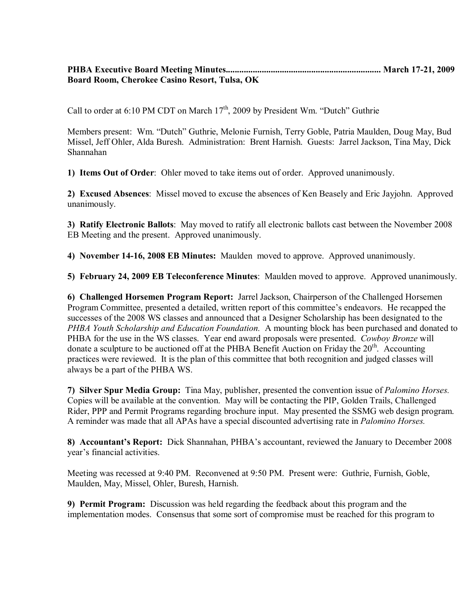## **PHBA Executive Board Meeting Minutes..................................................................... March 17-21, 2009 Board Room, Cherokee Casino Resort, Tulsa, OK**

Call to order at 6:10 PM CDT on March 17<sup>th</sup>, 2009 by President Wm. "Dutch" Guthrie

Members present: Wm. "Dutch" Guthrie, Melonie Furnish, Terry Goble, Patria Maulden, Doug May, Bud Missel, Jeff Ohler, Alda Buresh. Administration: Brent Harnish. Guests: Jarrel Jackson, Tina May, Dick Shannahan

**1) Items Out of Order**: Ohler moved to take items out of order. Approved unanimously.

**2) Excused Absences**: Missel moved to excuse the absences of Ken Beasely and Eric Jayjohn. Approved unanimously.

**3) Ratify Electronic Ballots**: May moved to ratify all electronic ballots cast between the November 2008 EB Meeting and the present. Approved unanimously.

**4) November 14-16, 2008 EB Minutes:** Maulden moved to approve. Approved unanimously.

**5) February 24, 2009 EB Teleconference Minutes**: Maulden moved to approve. Approved unanimously.

**6) Challenged Horsemen Program Report:** Jarrel Jackson, Chairperson of the Challenged Horsemen Program Committee, presented a detailed, written report of this committee's endeavors. He recapped the successes of the 2008 WS classes and announced that a Designer Scholarship has been designated to the *PHBA Youth Scholarship and Education Foundation.* A mounting block has been purchased and donated to PHBA for the use in the WS classes. Year end award proposals were presented. *Cowboy Bronze* will donate a sculpture to be auctioned off at the PHBA Benefit Auction on Friday the  $20<sup>th</sup>$ . Accounting practices were reviewed. It is the plan of this committee that both recognition and judged classes will always be a part of the PHBA WS.

**7) Silver Spur Media Group:** Tina May, publisher, presented the convention issue of *Palomino Horses.* Copies will be available at the convention. May will be contacting the PIP, Golden Trails, Challenged Rider, PPP and Permit Programs regarding brochure input. May presented the SSMG web design program. A reminder was made that all APAs have a special discounted advertising rate in *Palomino Horses.*

**8) Accountant's Report:** Dick Shannahan, PHBA's accountant, reviewed the January to December 2008 year's financial activities.

Meeting was recessed at 9:40 PM. Reconvened at 9:50 PM. Present were: Guthrie, Furnish, Goble, Maulden, May, Missel, Ohler, Buresh, Harnish.

**9) Permit Program:** Discussion was held regarding the feedback about this program and the implementation modes. Consensus that some sort of compromise must be reached for this program to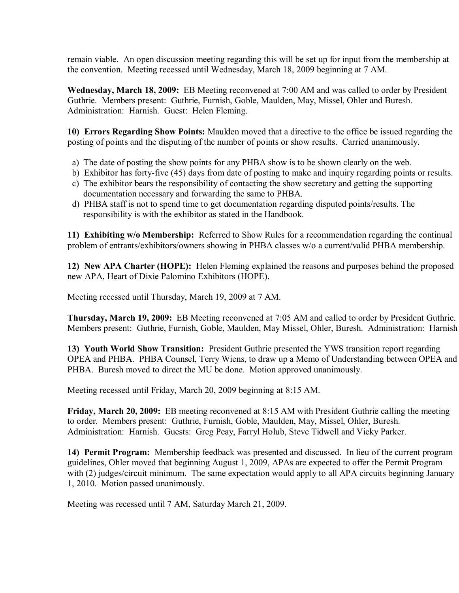remain viable. An open discussion meeting regarding this will be set up for input from the membership at the convention. Meeting recessed until Wednesday, March 18, 2009 beginning at 7 AM.

**Wednesday, March 18, 2009:** EB Meeting reconvened at 7:00 AM and was called to order by President Guthrie. Members present: Guthrie, Furnish, Goble, Maulden, May, Missel, Ohler and Buresh. Administration: Harnish. Guest: Helen Fleming.

**10) Errors Regarding Show Points:** Maulden moved that a directive to the office be issued regarding the posting of points and the disputing of the number of points or show results. Carried unanimously.

- a) The date of posting the show points for any PHBA show is to be shown clearly on the web.
- b) Exhibitor has forty-five (45) days from date of posting to make and inquiry regarding points or results.
- c) The exhibitor bears the responsibility of contacting the show secretary and getting the supporting documentation necessary and forwarding the same to PHBA.
- d) PHBA staff is not to spend time to get documentation regarding disputed points/results. The responsibility is with the exhibitor as stated in the Handbook.

**11) Exhibiting w/o Membership:** Referred to Show Rules for a recommendation regarding the continual problem of entrants/exhibitors/owners showing in PHBA classes w/o a current/valid PHBA membership.

**12) New APA Charter (HOPE):** Helen Fleming explained the reasons and purposes behind the proposed new APA, Heart of Dixie Palomino Exhibitors (HOPE).

Meeting recessed until Thursday, March 19, 2009 at 7 AM.

**Thursday, March 19, 2009:** EB Meeting reconvened at 7:05 AM and called to order by President Guthrie. Members present: Guthrie, Furnish, Goble, Maulden, May Missel, Ohler, Buresh. Administration: Harnish

**13) Youth World Show Transition:** President Guthrie presented the YWS transition report regarding OPEA and PHBA. PHBA Counsel, Terry Wiens, to draw up a Memo of Understanding between OPEA and PHBA. Buresh moved to direct the MU be done. Motion approved unanimously.

Meeting recessed until Friday, March 20, 2009 beginning at 8:15 AM.

**Friday, March 20, 2009:** EB meeting reconvened at 8:15 AM with President Guthrie calling the meeting to order. Members present: Guthrie, Furnish, Goble, Maulden, May, Missel, Ohler, Buresh. Administration: Harnish. Guests: Greg Peay, Farryl Holub, Steve Tidwell and Vicky Parker.

**14) Permit Program:** Membership feedback was presented and discussed. In lieu of the current program guidelines, Ohler moved that beginning August 1, 2009, APAs are expected to offer the Permit Program with (2) judges/circuit minimum. The same expectation would apply to all APA circuits beginning January 1, 2010. Motion passed unanimously.

Meeting was recessed until 7 AM, Saturday March 21, 2009.